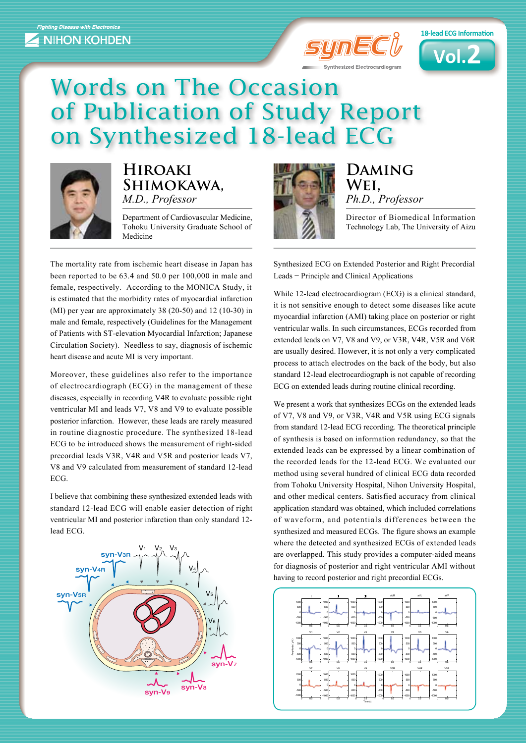



## Words on The Occasion of Publication of Study Report on Synthesized 18-lead ECG



## **Hiroaki ,Shimokawa** *M.D., Professor*

Department of Cardiovascular Medicine, Tohoku University Graduate School of Medicine

The mortality rate from ischemic heart disease in Japan has been reported to be  $63.4$  and  $50.0$  per  $100,000$  in male and female, respectively. According to the MONICA Study, it is estimated that the morbidity rates of myocardial infarction (MI) per year are approximately 38  $(20-50)$  and 12  $(10-30)$  in male and female, respectively (Guidelines for the Management of Patients with ST-elevation Myocardial Infarction; Japanese Circulation Society). Needless to say, diagnosis of ischemic heart disease and acute MI is very important.

Moreover, these guidelines also refer to the importance of electrocardiograph  $(ECG)$  in the management of these diseases, especially in recording V4R to evaluate possible right ventricular MI and leads V7, V8 and V9 to evaluate possible posterior infarction. However, these leads are rarely measured in routine diagnostic procedure. The synthesized 18-lead ECG to be introduced shows the measurement of right-sided precordial leads V3R, V4R and V5R and posterior leads V7, V8 and V9 calculated from measurement of standard 12-lead ECG.

I believe that combining these synthesized extended leads with standard 12-lead ECG will enable easier detection of right ventricular MI and posterior infarction than only standard 12lead ECG.





**Daming ,Wei** Ph.D., Professor

Director of Biomedical Information Technology Lab, The University of Aizu

Synthesized ECG on Extended Posterior and Right Precordial Leads – Principle and Clinical Applications

While 12-lead electrocardiogram (ECG) is a clinical standard, it is not sensitive enough to detect some diseases like acute myocardial infarction (AMI) taking place on posterior or right ventricular walls. In such circumstances, ECGs recorded from extended leads on V7, V8 and V9, or V3R, V4R, V5R and V6R are usually desired. However, it is not only a very complicated process to attach electrodes on the back of the body, but also standard 12-lead electrocardiograph is not capable of recording ECG on extended leads during routine clinical recording.

We present a work that synthesizes ECGs on the extended leads of V7, V8 and V9, or V3R, V4R and V5R using ECG signals from standard 12-lead ECG recording. The theoretical principle of synthesis is based on information redundancy, so that the extended leads can be expressed by a linear combination of the recorded leads for the 12-lead ECG. We evaluated our method using several hundred of clinical ECG data recorded from Tohoku University Hospital, Nihon University Hospital, and other medical centers. Satisfied accuracy from clinical application standard was obtained, which included correlations of waveform, and potentials differences between the synthesized and measured ECGs. The figure shows an example where the detected and synthesized ECGs of extended leads are overlapped. This study provides a computer-aided means for diagnosis of posterior and right ventricular AMI without having to record posterior and right precordial ECGs.